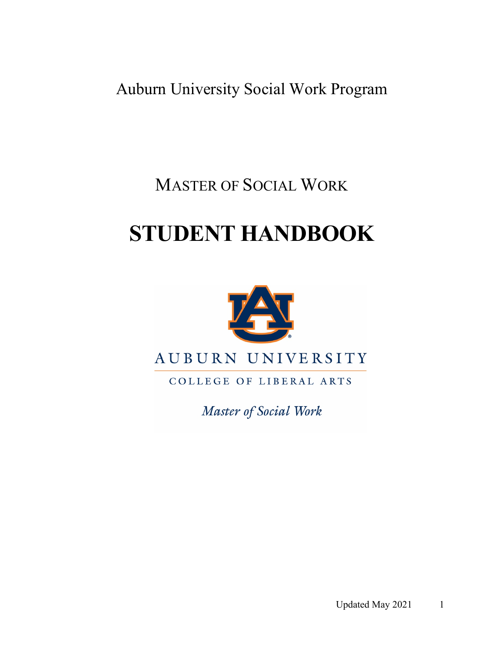Auburn University Social Work Program

MASTER OF SOCIAL WORK

# **STUDENT HANDBOOK**



COLLEGE OF LIBERAL ARTS

Master of Social Work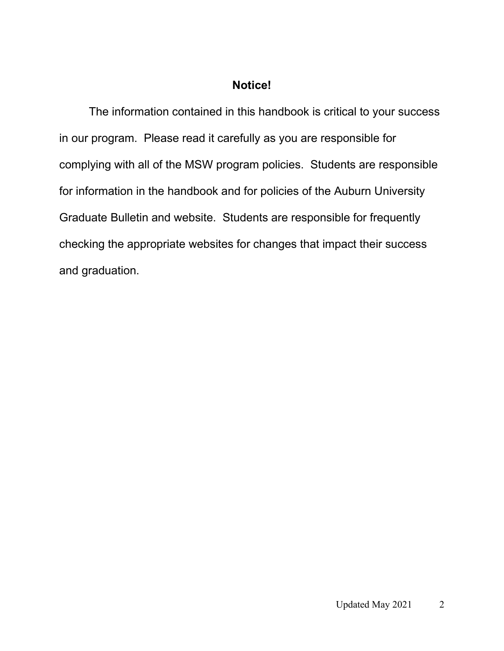## **Notice!**

The information contained in this handbook is critical to your success in our program. Please read it carefully as you are responsible for complying with all of the MSW program policies. Students are responsible for information in the handbook and for policies of the Auburn University Graduate Bulletin and website. Students are responsible for frequently checking the appropriate websites for changes that impact their success and graduation.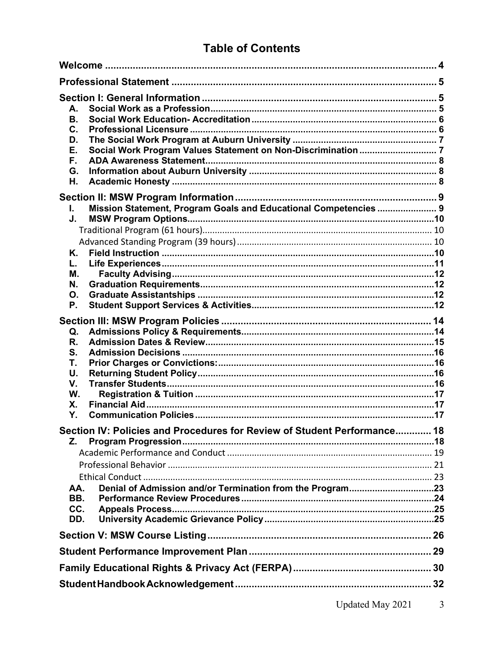## **Table of Contents**

| А.<br>В.<br>C.<br>D.<br>Е.<br>F.<br>G.<br>Н.                             |  |  |
|--------------------------------------------------------------------------|--|--|
|                                                                          |  |  |
| Mission Statement, Program Goals and Educational Competencies  9<br>I.   |  |  |
| J.                                                                       |  |  |
|                                                                          |  |  |
|                                                                          |  |  |
| K.<br>L.                                                                 |  |  |
| М.                                                                       |  |  |
| N.                                                                       |  |  |
| Ο.                                                                       |  |  |
| Ρ.                                                                       |  |  |
|                                                                          |  |  |
| Q.                                                                       |  |  |
| R.                                                                       |  |  |
| S.                                                                       |  |  |
| Τ.                                                                       |  |  |
| U.<br>V.                                                                 |  |  |
| W.                                                                       |  |  |
| X.                                                                       |  |  |
| Υ.                                                                       |  |  |
| Section IV: Policies and Procedures for Review of Student Performance 18 |  |  |
| Z.                                                                       |  |  |
|                                                                          |  |  |
|                                                                          |  |  |
|                                                                          |  |  |
| AA.                                                                      |  |  |
| BB.                                                                      |  |  |
| CC.                                                                      |  |  |
| DD.                                                                      |  |  |
|                                                                          |  |  |
|                                                                          |  |  |
|                                                                          |  |  |
|                                                                          |  |  |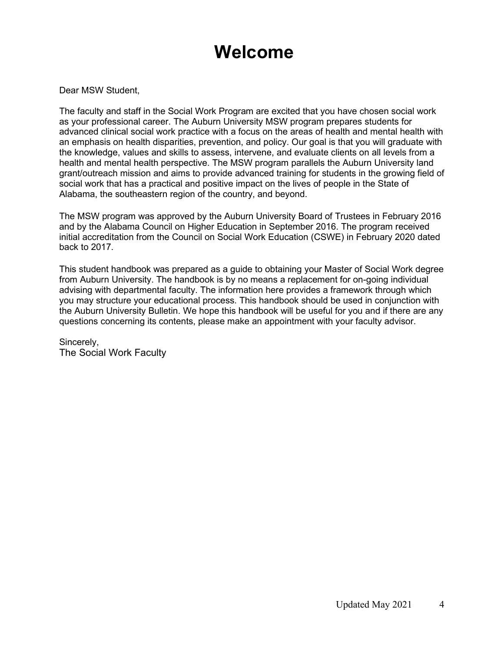## **Welcome**

Dear MSW Student,

The faculty and staff in the Social Work Program are excited that you have chosen social work as your professional career. The Auburn University MSW program prepares students for advanced clinical social work practice with a focus on the areas of health and mental health with an emphasis on health disparities, prevention, and policy. Our goal is that you will graduate with the knowledge, values and skills to assess, intervene, and evaluate clients on all levels from a health and mental health perspective. The MSW program parallels the Auburn University land grant/outreach mission and aims to provide advanced training for students in the growing field of social work that has a practical and positive impact on the lives of people in the State of Alabama, the southeastern region of the country, and beyond.

The MSW program was approved by the Auburn University Board of Trustees in February 2016 and by the Alabama Council on Higher Education in September 2016. The program received initial accreditation from the Council on Social Work Education (CSWE) in February 2020 dated back to 2017.

This student handbook was prepared as a guide to obtaining your Master of Social Work degree from Auburn University. The handbook is by no means a replacement for on-going individual advising with departmental faculty. The information here provides a framework through which you may structure your educational process. This handbook should be used in conjunction with the Auburn University Bulletin. We hope this handbook will be useful for you and if there are any questions concerning its contents, please make an appointment with your faculty advisor.

Sincerely, The Social Work Faculty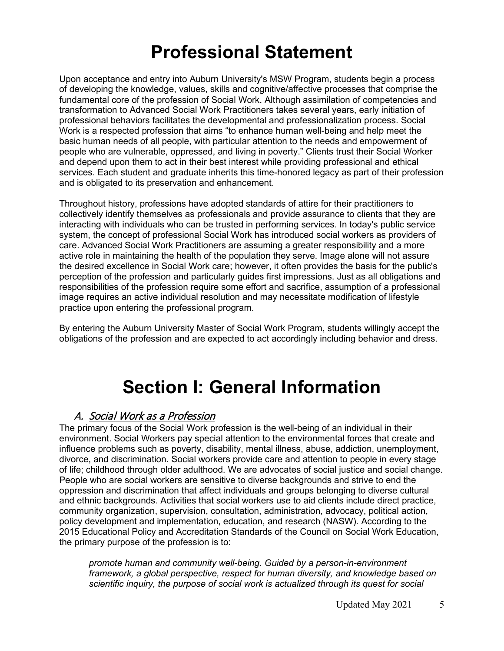## **Professional Statement**

Upon acceptance and entry into Auburn University's MSW Program, students begin a process of developing the knowledge, values, skills and cognitive/affective processes that comprise the fundamental core of the profession of Social Work. Although assimilation of competencies and transformation to Advanced Social Work Practitioners takes several years, early initiation of professional behaviors facilitates the developmental and professionalization process. Social Work is a respected profession that aims "to enhance human well-being and help meet the basic human needs of all people, with particular attention to the needs and empowerment of people who are vulnerable, oppressed, and living in poverty." Clients trust their Social Worker and depend upon them to act in their best interest while providing professional and ethical services. Each student and graduate inherits this time-honored legacy as part of their profession and is obligated to its preservation and enhancement.

Throughout history, professions have adopted standards of attire for their practitioners to collectively identify themselves as professionals and provide assurance to clients that they are interacting with individuals who can be trusted in performing services. In today's public service system, the concept of professional Social Work has introduced social workers as providers of care. Advanced Social Work Practitioners are assuming a greater responsibility and a more active role in maintaining the health of the population they serve. Image alone will not assure the desired excellence in Social Work care; however, it often provides the basis for the public's perception of the profession and particularly guides first impressions. Just as all obligations and responsibilities of the profession require some effort and sacrifice, assumption of a professional image requires an active individual resolution and may necessitate modification of lifestyle practice upon entering the professional program.

By entering the Auburn University Master of Social Work Program, students willingly accept the obligations of the profession and are expected to act accordingly including behavior and dress.

## **Section I: General Information**

## A. Social Work as a Profession

The primary focus of the Social Work profession is the well-being of an individual in their environment. Social Workers pay special attention to the environmental forces that create and influence problems such as poverty, disability, mental illness, abuse, addiction, unemployment, divorce, and discrimination. Social workers provide care and attention to people in every stage of life; childhood through older adulthood. We are advocates of social justice and social change. People who are social workers are sensitive to diverse backgrounds and strive to end the oppression and discrimination that affect individuals and groups belonging to diverse cultural and ethnic backgrounds. Activities that social workers use to aid clients include direct practice, community organization, supervision, consultation, administration, advocacy, political action, policy development and implementation, education, and research (NASW). According to the 2015 Educational Policy and Accreditation Standards of the Council on Social Work Education, the primary purpose of the profession is to:

*promote human and community well-being. Guided by a person-in-environment framework, a global perspective, respect for human diversity, and knowledge based on scientific inquiry, the purpose of social work is actualized through its quest for social*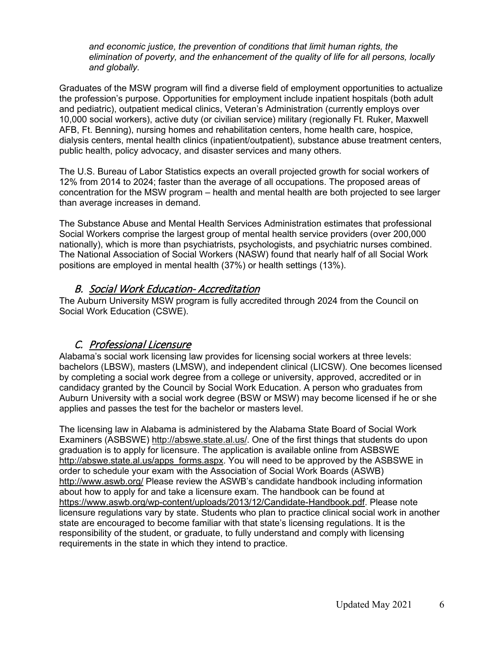*and economic justice, the prevention of conditions that limit human rights, the elimination of poverty, and the enhancement of the quality of life for all persons, locally and globally.*

Graduates of the MSW program will find a diverse field of employment opportunities to actualize the profession's purpose. Opportunities for employment include inpatient hospitals (both adult and pediatric), outpatient medical clinics, Veteran's Administration (currently employs over 10,000 social workers), active duty (or civilian service) military (regionally Ft. Ruker, Maxwell AFB, Ft. Benning), nursing homes and rehabilitation centers, home health care, hospice, dialysis centers, mental health clinics (inpatient/outpatient), substance abuse treatment centers, public health, policy advocacy, and disaster services and many others.

The U.S. Bureau of Labor Statistics expects an overall projected growth for social workers of 12% from 2014 to 2024; faster than the average of all occupations. The proposed areas of concentration for the MSW program – health and mental health are both projected to see larger than average increases in demand.

The Substance Abuse and Mental Health Services Administration estimates that professional Social Workers comprise the largest group of mental health service providers (over 200,000 nationally), which is more than psychiatrists, psychologists, and psychiatric nurses combined. The National Association of Social Workers (NASW) found that nearly half of all Social Work positions are employed in mental health (37%) or health settings (13%).

## B. Social Work Education- Accreditation

The Auburn University MSW program is fully accredited through 2024 from the Council on Social Work Education (CSWE).

## C. Professional Licensure

Alabama's social work licensing law provides for licensing social workers at three levels: bachelors (LBSW), masters (LMSW), and independent clinical (LICSW). One becomes licensed by completing a social work degree from a college or university, approved, accredited or in candidacy granted by the Council by Social Work Education. A person who graduates from Auburn University with a social work degree (BSW or MSW) may become licensed if he or she applies and passes the test for the bachelor or masters level.

The licensing law in Alabama is administered by the Alabama State Board of Social Work Examiners (ASBSWE) [http://abswe.state.al.us/.](http://abswe.state.al.us/) One of the first things that students do upon graduation is to apply for licensure. The application is available online from ASBSWE [http://abswe.state.al.us/apps\\_forms.aspx.](http://abswe.state.al.us/apps_forms.aspx) You will need to be approved by the ASBSWE in order to schedule your exam with the Association of Social Work Boards (ASWB) <http://www.aswb.org/> Please review the ASWB's candidate handbook including information about how to apply for and take a licensure exam. The handbook can be found at [https://www.aswb.org/wp-content/uploads/2013/12/Candidate-Handbook.pdf.](https://www.aswb.org/wp-content/uploads/2013/12/Candidate-Handbook.pdf) Please note licensure regulations vary by state. Students who plan to practice clinical social work in another state are encouraged to become familiar with that state's licensing regulations. It is the responsibility of the student, or graduate, to fully understand and comply with licensing requirements in the state in which they intend to practice.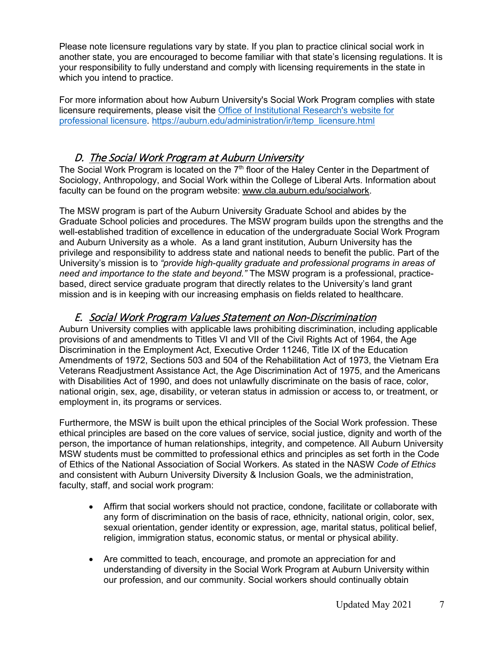Please note licensure regulations vary by state. If you plan to practice clinical social work in another state, you are encouraged to become familiar with that state's licensing regulations. It is your responsibility to fully understand and comply with licensing requirements in the state in which you intend to practice.

For more information about how Auburn University's Social Work Program complies with state licensure requirements, please visit the [Office of Institutional Research's website for](https://auburn.edu/administration/ir/temp_licensure.html)  [professional licensure.](https://auburn.edu/administration/ir/temp_licensure.html) [https://auburn.edu/administration/ir/temp\\_licensure.html](https://auburn.edu/administration/ir/temp_licensure.html)

## D. The Social Work Program at Auburn University

The Social Work Program is located on the  $7<sup>th</sup>$  floor of the Haley Center in the Department of Sociology, Anthropology, and Social Work within the College of Liberal Arts. Information about faculty can be found on the program website: [www.cla.auburn.edu/socialwork.](http://www.cla.auburn.edu/socialwork)

The MSW program is part of the Auburn University Graduate School and abides by the Graduate School policies and procedures. The MSW program builds upon the strengths and the well-established tradition of excellence in education of the undergraduate Social Work Program and Auburn University as a whole. As a land grant institution, Auburn University has the privilege and responsibility to address state and national needs to benefit the public. Part of the University's mission is to *"provide high-quality graduate and professional programs in areas of need and importance to the state and beyond."* The MSW program is a professional, practicebased, direct service graduate program that directly relates to the University's land grant mission and is in keeping with our increasing emphasis on fields related to healthcare.

## E. Social Work Program Values Statement on Non-Discrimination

Auburn University complies with applicable laws prohibiting discrimination, including applicable provisions of and amendments to Titles VI and VII of the Civil Rights Act of 1964, the Age Discrimination in the Employment Act, Executive Order 11246, Title IX of the Education Amendments of 1972, Sections 503 and 504 of the Rehabilitation Act of 1973, the Vietnam Era Veterans Readjustment Assistance Act, the Age Discrimination Act of 1975, and the Americans with Disabilities Act of 1990, and does not unlawfully discriminate on the basis of race, color, national origin, sex, age, disability, or veteran status in admission or access to, or treatment, or employment in, its programs or services.

Furthermore, the MSW is built upon the ethical principles of the Social Work profession. These ethical principles are based on the core values of service, social justice, dignity and worth of the person, the importance of human relationships, integrity, and competence. All Auburn University MSW students must be committed to professional ethics and principles as set forth in the Code of Ethics of the National Association of Social Workers. As stated in the NASW *Code of Ethics* and consistent with Auburn University Diversity & Inclusion Goals, we the administration, faculty, staff, and social work program:

- Affirm that social workers should not practice, condone, facilitate or collaborate with any form of discrimination on the basis of race, ethnicity, national origin, color, sex, sexual orientation, gender identity or expression, age, marital status, political belief, religion, immigration status, economic status, or mental or physical ability.
- Are committed to teach, encourage, and promote an appreciation for and understanding of diversity in the Social Work Program at Auburn University within our profession, and our community. Social workers should continually obtain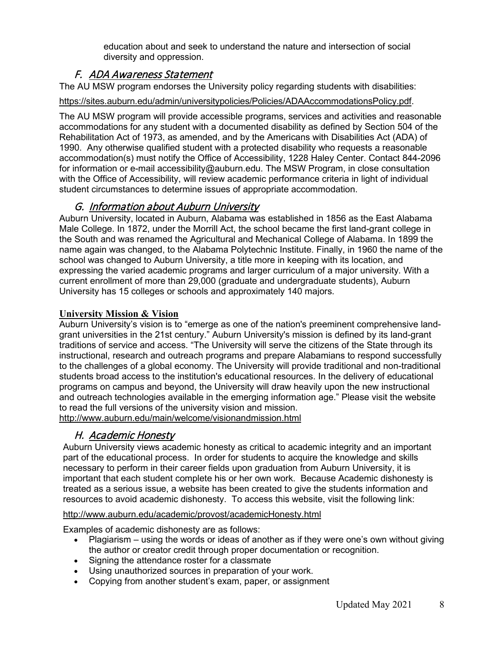education about and seek to understand the nature and intersection of social diversity and oppression.

## F. ADA Awareness Statement

The AU MSW program endorses the University policy regarding students with disabilities:

## [https://sites.auburn.edu/admin/universitypolicies/Policies/ADAAccommodationsPolicy.pdf.](https://sites.auburn.edu/admin/universitypolicies/Policies/ADAAccommodationsPolicy.pdf)

The AU MSW program will provide accessible programs, services and activities and reasonable accommodations for any student with a documented disability as defined by Section 504 of the Rehabilitation Act of 1973, as amended, and by the Americans with Disabilities Act (ADA) of 1990. Any otherwise qualified student with a protected disability who requests a reasonable accommodation(s) must notify the Office of Accessibility, 1228 Haley Center. Contact 844-2096 for information or e-mail [accessibility@auburn.edu.](mailto:accessibility@auburn.edu) The MSW Program, in close consultation with the Office of Accessibility, will review academic performance criteria in light of individual student circumstances to determine issues of appropriate accommodation.

## G. Information about Auburn University

Auburn University, located in Auburn, Alabama was established in 1856 as the East Alabama Male College. In 1872, under the Morrill Act, the school became the first land-grant college in the South and was renamed the Agricultural and Mechanical College of Alabama. In 1899 the name again was changed, to the Alabama Polytechnic Institute. Finally, in 1960 the name of the school was changed to Auburn University, a title more in keeping with its location, and expressing the varied academic programs and larger curriculum of a major university. With a current enrollment of more than 29,000 (graduate and undergraduate students), Auburn University has 15 colleges or schools and approximately 140 majors.

## **University Mission & Vision**

Auburn University's vision is to "emerge as one of the nation's preeminent comprehensive landgrant universities in the 21st century." Auburn University's mission is defined by its land-grant traditions of service and access. "The University will serve the citizens of the State through its instructional, research and outreach programs and prepare Alabamians to respond successfully to the challenges of a global economy. The University will provide traditional and non-traditional students broad access to the institution's educational resources. In the delivery of educational programs on campus and beyond, the University will draw heavily upon the new instructional and outreach technologies available in the emerging information age." Please visit the website to read the full versions of the university vision and mission.

<http://www.auburn.edu/main/welcome/visionandmission.html>

## H. Academic Honesty

Auburn University views academic honesty as critical to academic integrity and an important part of the educational process. In order for students to acquire the knowledge and skills necessary to perform in their career fields upon graduation from Auburn University, it is important that each student complete his or her own work. Because Academic dishonesty is treated as a serious issue, a website has been created to give the students information and resources to avoid academic dishonesty. To access this website, visit the following link:

## <http://www.auburn.edu/academic/provost/academicHonesty.html>

Examples of academic dishonesty are as follows:

- Plagiarism using the words or ideas of another as if they were one's own without giving the author or creator credit through proper documentation or recognition.
- Signing the attendance roster for a classmate
- Using unauthorized sources in preparation of your work.
- Copying from another student's exam, paper, or assignment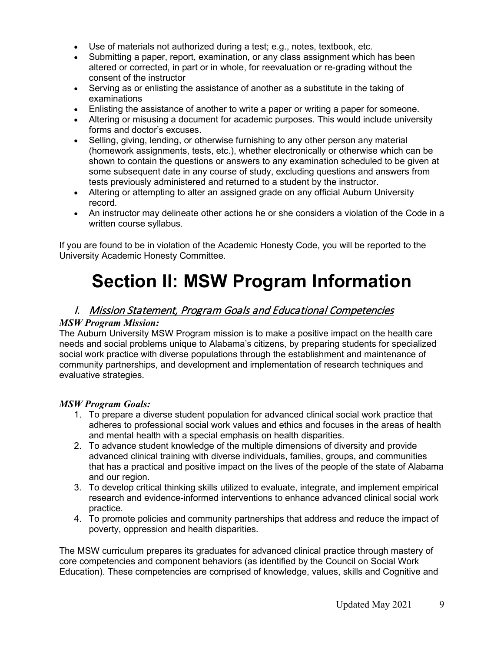- Use of materials not authorized during a test; e.g., notes, textbook, etc.
- Submitting a paper, report, examination, or any class assignment which has been altered or corrected, in part or in whole, for reevaluation or re-grading without the consent of the instructor
- Serving as or enlisting the assistance of another as a substitute in the taking of examinations
- Enlisting the assistance of another to write a paper or writing a paper for someone.
- Altering or misusing a document for academic purposes. This would include university forms and doctor's excuses.
- Selling, giving, lending, or otherwise furnishing to any other person any material (homework assignments, tests, etc.), whether electronically or otherwise which can be shown to contain the questions or answers to any examination scheduled to be given at some subsequent date in any course of study, excluding questions and answers from tests previously administered and returned to a student by the instructor.
- Altering or attempting to alter an assigned grade on any official Auburn University record.
- An instructor may delineate other actions he or she considers a violation of the Code in a written course syllabus.

If you are found to be in violation of the Academic Honesty Code, you will be reported to the University Academic Honesty Committee.

# **Section II: MSW Program Information**

## I. Mission Statement, Program Goals and Educational Competencies

### *MSW Program Mission:*

The Auburn University MSW Program mission is to make a positive impact on the health care needs and social problems unique to Alabama's citizens, by preparing students for specialized social work practice with diverse populations through the establishment and maintenance of community partnerships, and development and implementation of research techniques and evaluative strategies.

## *MSW Program Goals:*

- 1. To prepare a diverse student population for advanced clinical social work practice that adheres to professional social work values and ethics and focuses in the areas of health and mental health with a special emphasis on health disparities.
- 2. To advance student knowledge of the multiple dimensions of diversity and provide advanced clinical training with diverse individuals, families, groups, and communities that has a practical and positive impact on the lives of the people of the state of Alabama and our region.
- 3. To develop critical thinking skills utilized to evaluate, integrate, and implement empirical research and evidence-informed interventions to enhance advanced clinical social work practice.
- 4. To promote policies and community partnerships that address and reduce the impact of poverty, oppression and health disparities.

The MSW curriculum prepares its graduates for advanced clinical practice through mastery of core competencies and component behaviors (as identified by the Council on Social Work Education). These competencies are comprised of knowledge, values, skills and Cognitive and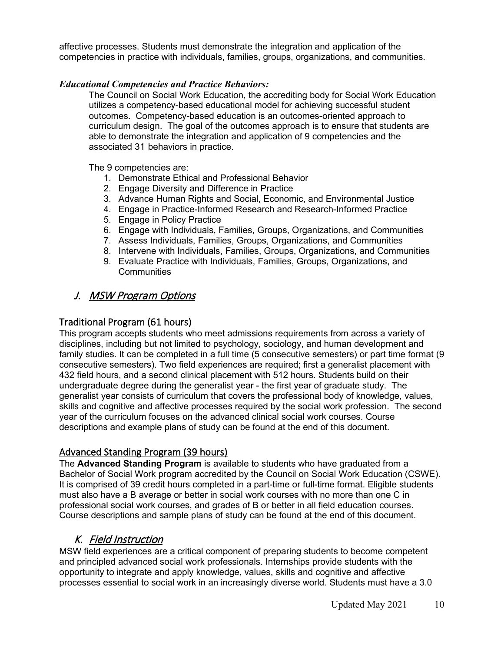affective processes. Students must demonstrate the integration and application of the competencies in practice with individuals, families, groups, organizations, and communities.

### *Educational Competencies and Practice Behaviors:*

The Council on Social Work Education, the accrediting body for Social Work Education utilizes a competency-based educational model for achieving successful student outcomes. Competency-based education is an outcomes-oriented approach to curriculum design. The goal of the outcomes approach is to ensure that students are able to demonstrate the integration and application of 9 competencies and the associated 31 behaviors in practice.

The 9 competencies are:

- 1. Demonstrate Ethical and Professional Behavior
- 2. Engage Diversity and Difference in Practice
- 3. Advance Human Rights and Social, Economic, and Environmental Justice
- 4. Engage in Practice-Informed Research and Research-Informed Practice
- 5. Engage in Policy Practice
- 6. Engage with Individuals, Families, Groups, Organizations, and Communities
- 7. Assess Individuals, Families, Groups, Organizations, and Communities
- 8. Intervene with Individuals, Families, Groups, Organizations, and Communities
- 9. Evaluate Practice with Individuals, Families, Groups, Organizations, and **Communities**

## J. MSW Program Options

## Traditional Program (61 hours)

This program accepts students who meet admissions requirements from across a variety of disciplines, including but not limited to psychology, sociology, and human development and family studies. It can be completed in a full time (5 consecutive semesters) or part time format (9 consecutive semesters). Two field experiences are required; first a generalist placement with 432 field hours, and a second clinical placement with 512 hours. Students build on their undergraduate degree during the generalist year - the first year of graduate study. The generalist year consists of curriculum that covers the professional body of knowledge, values, skills and cognitive and affective processes required by the social work profession. The second year of the curriculum focuses on the advanced clinical social work courses. Course descriptions and example plans of study can be found at the end of this document.

## Advanced Standing Program (39 hours)

The **Advanced Standing Program** is available to students who have graduated from a Bachelor of Social Work program accredited by the Council on Social Work Education (CSWE). It is comprised of 39 credit hours completed in a part-time or full-time format. Eligible students must also have a B average or better in social work courses with no more than one C in professional social work courses, and grades of B or better in all field education courses. Course descriptions and sample plans of study can be found at the end of this document.

## K. Field Instruction

MSW field experiences are a critical component of preparing students to become competent and principled advanced social work professionals. Internships provide students with the opportunity to integrate and apply knowledge, values, skills and cognitive and affective processes essential to social work in an increasingly diverse world. Students must have a 3.0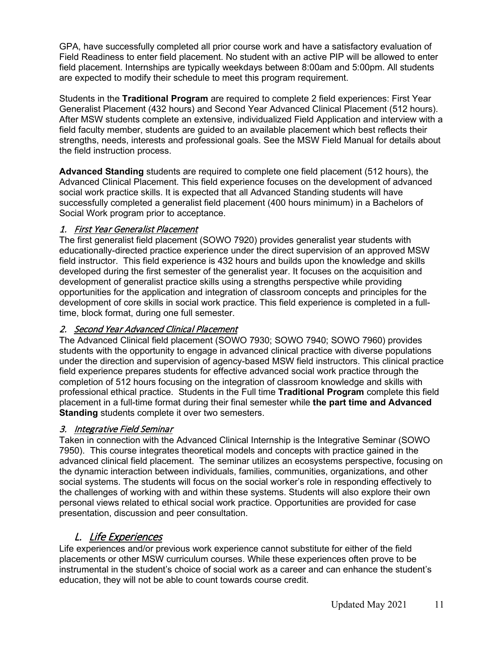GPA, have successfully completed all prior course work and have a satisfactory evaluation of Field Readiness to enter field placement. No student with an active PIP will be allowed to enter field placement. Internships are typically weekdays between 8:00am and 5:00pm. All students are expected to modify their schedule to meet this program requirement.

Students in the **Traditional Program** are required to complete 2 field experiences: First Year Generalist Placement (432 hours) and Second Year Advanced Clinical Placement (512 hours). After MSW students complete an extensive, individualized Field Application and interview with a field faculty member, students are guided to an available placement which best reflects their strengths, needs, interests and professional goals. See the MSW Field Manual for details about the field instruction process.

**Advanced Standing** students are required to complete one field placement (512 hours), the Advanced Clinical Placement. This field experience focuses on the development of advanced social work practice skills. It is expected that all Advanced Standing students will have successfully completed a generalist field placement (400 hours minimum) in a Bachelors of Social Work program prior to acceptance.

## 1. First Year Generalist Placement

The first generalist field placement (SOWO 7920) provides generalist year students with educationally-directed practice experience under the direct supervision of an approved MSW field instructor. This field experience is 432 hours and builds upon the knowledge and skills developed during the first semester of the generalist year. It focuses on the acquisition and development of generalist practice skills using a strengths perspective while providing opportunities for the application and integration of classroom concepts and principles for the development of core skills in social work practice. This field experience is completed in a fulltime, block format, during one full semester.

## 2. Second Year Advanced Clinical Placement

The Advanced Clinical field placement (SOWO 7930; SOWO 7940; SOWO 7960) provides students with the opportunity to engage in advanced clinical practice with diverse populations under the direction and supervision of agency-based MSW field instructors. This clinical practice field experience prepares students for effective advanced social work practice through the completion of 512 hours focusing on the integration of classroom knowledge and skills with professional ethical practice. Students in the Full time **Traditional Program** complete this field placement in a full-time format during their final semester while **the part time and Advanced Standing** students complete it over two semesters.

## 3. Integrative Field Seminar

Taken in connection with the Advanced Clinical Internship is the Integrative Seminar (SOWO 7950). This course integrates theoretical models and concepts with practice gained in the advanced clinical field placement. The seminar utilizes an ecosystems perspective, focusing on the dynamic interaction between individuals, families, communities, organizations, and other social systems. The students will focus on the social worker's role in responding effectively to the challenges of working with and within these systems. Students will also explore their own personal views related to ethical social work practice. Opportunities are provided for case presentation, discussion and peer consultation.

## L. Life Experiences

Life experiences and/or previous work experience cannot substitute for either of the field placements or other MSW curriculum courses. While these experiences often prove to be instrumental in the student's choice of social work as a career and can enhance the student's education, they will not be able to count towards course credit.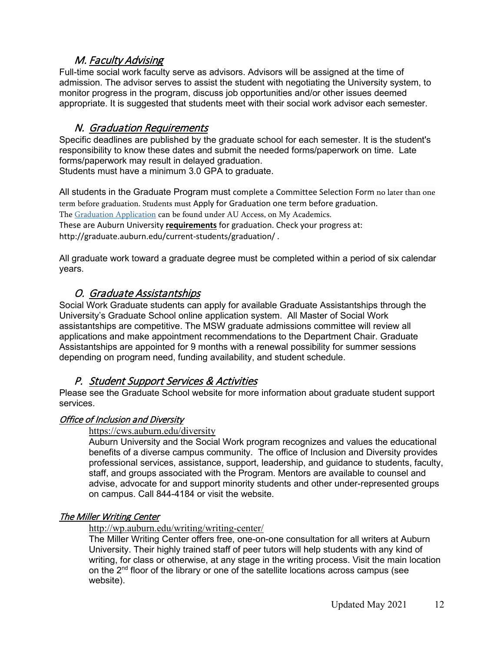## M. Faculty Advising

Full-time social work faculty serve as advisors. Advisors will be assigned at the time of admission. The advisor serves to assist the student with negotiating the University system, to monitor progress in the program, discuss job opportunities and/or other issues deemed appropriate. It is suggested that students meet with their social work advisor each semester.

## N. Graduation Requirements

Specific deadlines are published by the graduate school for each semester. It is the student's responsibility to know these dates and submit the needed forms/paperwork on time. Late forms/paperwork may result in delayed graduation. Students must have a minimum 3.0 GPA to graduate.

All students in the Graduate Program must complete a Committee Selection Form no later than one term before graduation. Students must Apply for Graduation one term before graduation. The [Graduation Application](https://auaccess.auburn.edu/web/auaccess-home/my-academics) can be found under AU Access, on My Academics. These are Auburn University **requirements** for graduation. Check your progress at: http://graduate.auburn.edu/current-students/graduation/ .

All graduate work toward a graduate degree must be completed within a period of six calendar years.

## O. Graduate Assistantships

Social Work Graduate students can apply for available Graduate Assistantships through the University's Graduate School online application system. All Master of Social Work assistantships are competitive. The MSW graduate admissions committee will review all applications and make appointment recommendations to the Department Chair. Graduate Assistantships are appointed for 9 months with a renewal possibility for summer sessions depending on program need, funding availability, and student schedule.

## P. Student Support Services & Activities

Please see the Graduate School website for more information about graduate student support services.

## Office of Inclusion and Diversity

## <https://cws.auburn.edu/diversity>

Auburn University and the Social Work program recognizes and values the educational benefits of a diverse campus community. The office of Inclusion and Diversity provides professional services, assistance, support, leadership, and guidance to students, faculty, staff, and groups associated with the Program. Mentors are available to counsel and advise, advocate for and support minority students and other under-represented groups on campus. Call 844-4184 or visit the website.

## The Miller Writing Center

<http://wp.auburn.edu/writing/writing-center/>

The Miller Writing Center offers free, one-on-one consultation for all writers at Auburn University. Their highly trained staff of peer tutors will help students with any kind of writing, for class or otherwise, at any stage in the writing process. Visit the main location on the 2<sup>nd</sup> floor of the library or one of the satellite locations across campus (see website).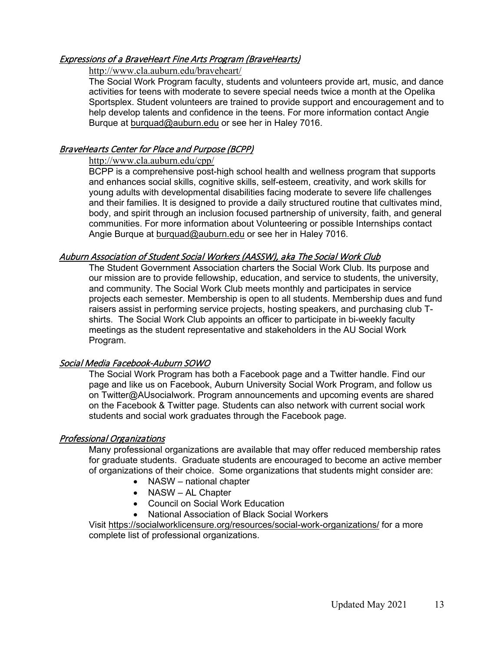## Expressions of a BraveHeart Fine Arts Program (BraveHearts)

### <http://www.cla.auburn.edu/braveheart/>

The Social Work Program faculty, students and volunteers provide art, music, and dance activities for teens with moderate to severe special needs twice a month at the Opelika Sportsplex. Student volunteers are trained to provide support and encouragement and to help develop talents and confidence in the teens. For more information contact Angie Burque at [burquad@auburn.edu](mailto:burquad@auburn.edu) or see her in Haley 7016.

## BraveHearts Center for Place and Purpose (BCPP)

### <http://www.cla.auburn.edu/cpp/>

BCPP is a comprehensive post-high school health and wellness program that supports and enhances social skills, cognitive skills, self-esteem, creativity, and work skills for young adults with developmental disabilities facing moderate to severe life challenges and their families. It is designed to provide a daily structured routine that cultivates mind, body, and spirit through an inclusion focused partnership of university, faith, and general communities. For more information about Volunteering or possible Internships contact Angie Burque at [burquad@auburn.edu](mailto:burquad@auburn.edu) or see her in Haley 7016.

## Auburn Association of Student Social Workers (AASSW), aka The Social Work Club

The Student Government Association charters the Social Work Club. Its purpose and our mission are to provide fellowship, education, and service to students, the university, and community. The Social Work Club meets monthly and participates in service projects each semester. Membership is open to all students. Membership dues and fund raisers assist in performing service projects, hosting speakers, and purchasing club Tshirts. The Social Work Club appoints an officer to participate in bi-weekly faculty meetings as the student representative and stakeholders in the AU Social Work Program.

## Social Media Facebook-Auburn SOWO

The Social Work Program has both a Facebook page and a Twitter handle. Find our page and like us on Facebook, Auburn University Social Work Program, and follow us on Twitter@AUsocialwork. Program announcements and upcoming events are shared on the Facebook & Twitter page. Students can also network with current social work students and social work graduates through the Facebook page.

## Professional Organizations

Many professional organizations are available that may offer reduced membership rates for graduate students. Graduate students are encouraged to become an active member of organizations of their choice. Some organizations that students might consider are:

- NASW national chapter
- NASW AL Chapter
- Council on Social Work Education
- National Association of Black Social Workers

Visit<https://socialworklicensure.org/resources/social-work-organizations/> for a more complete list of professional organizations.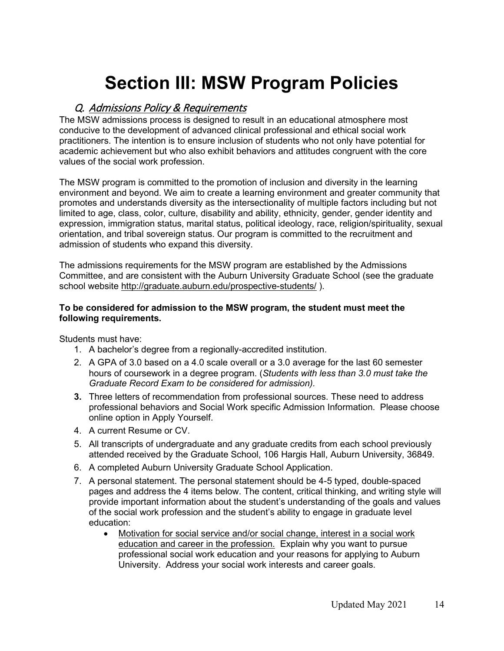# **Section III: MSW Program Policies**

## Q. Admissions Policy & Requirements

The MSW admissions process is designed to result in an educational atmosphere most conducive to the development of advanced clinical professional and ethical social work practitioners. The intention is to ensure inclusion of students who not only have potential for academic achievement but who also exhibit behaviors and attitudes congruent with the core values of the social work profession.

The MSW program is committed to the promotion of inclusion and diversity in the learning environment and beyond. We aim to create a learning environment and greater community that promotes and understands diversity as the intersectionality of multiple factors including but not limited to age, class, color, culture, disability and ability, ethnicity, gender, gender identity and expression, immigration status, marital status, political ideology, race, religion/spirituality, sexual orientation, and tribal sovereign status. Our program is committed to the recruitment and admission of students who expand this diversity.

The admissions requirements for the MSW program are established by the Admissions Committee, and are consistent with the Auburn University Graduate School (see the graduate school website<http://graduate.auburn.edu/prospective-students/> ).

#### **To be considered for admission to the MSW program, the student must meet the following requirements.**

Students must have:

- 1. A bachelor's degree from a regionally-accredited institution.
- 2. A GPA of 3.0 based on a 4.0 scale overall or a 3.0 average for the last 60 semester hours of coursework in a degree program. (*Students with less than 3.0 must take the Graduate Record Exam to be considered for admission).*
- **3.** Three letters of recommendation from professional sources. These need to address professional behaviors and Social Work specific Admission Information. Please choose online option in Apply Yourself.
- 4. A current Resume or CV.
- 5. All transcripts of undergraduate and any graduate credits from each school previously attended received by the Graduate School, 106 Hargis Hall, Auburn University, 36849.
- 6. A completed Auburn University Graduate School Application.
- 7. A personal statement. The personal statement should be 4-5 typed, double-spaced pages and address the 4 items below. The content, critical thinking, and writing style will provide important information about the student's understanding of the goals and values of the social work profession and the student's ability to engage in graduate level education:
	- Motivation for social service and/or social change, interest in a social work education and career in the profession. Explain why you want to pursue professional social work education and your reasons for applying to Auburn University. Address your social work interests and career goals.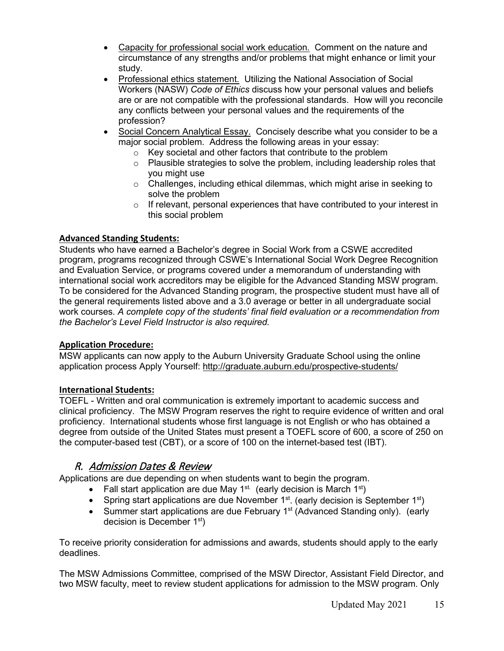- Capacity for professional social work education. Comment on the nature and circumstance of any strengths and/or problems that might enhance or limit your study.
- Professional ethics statement. Utilizing the National Association of Social Workers (NASW) *Code of Ethics* discuss how your personal values and beliefs are or are not compatible with the professional standards. How will you reconcile any conflicts between your personal values and the requirements of the profession?
- Social Concern Analytical Essay. Concisely describe what you consider to be a major social problem. Address the following areas in your essay:
	- $\circ$  Key societal and other factors that contribute to the problem  $\circ$  Plausible strategies to solve the problem, including leadersh
	- Plausible strategies to solve the problem, including leadership roles that you might use
	- o Challenges, including ethical dilemmas, which might arise in seeking to solve the problem
	- o If relevant, personal experiences that have contributed to your interest in this social problem

#### **Advanced Standing Students:**

Students who have earned a Bachelor's degree in Social Work from a CSWE accredited program, programs recognized through CSWE's International Social Work Degree Recognition and Evaluation Service, or programs covered under a memorandum of understanding with international social work accreditors may be eligible for the Advanced Standing MSW program. To be considered for the Advanced Standing program, the prospective student must have all of the general requirements listed above and a 3.0 average or better in all undergraduate social work courses. *A complete copy of the students' final field evaluation or a recommendation from the Bachelor's Level Field Instructor is also required.*

#### **Application Procedure:**

MSW applicants can now apply to the Auburn University Graduate School using the online application process Apply Yourself:<http://graduate.auburn.edu/prospective-students/>

#### **International Students:**

TOEFL - Written and oral communication is extremely important to academic success and clinical proficiency. The MSW Program reserves the right to require evidence of written and oral proficiency. International students whose first language is not English or who has obtained a degree from outside of the United States must present a TOEFL score of 600, a score of 250 on the computer-based test (CBT), or a score of 100 on the internet-based test (IBT).

## R. Admission Dates & Review

Applications are due depending on when students want to begin the program.

- Fall start application are due May 1<sup>st.</sup> (early decision is March 1<sup>st</sup>)
- Spring start applications are due November  $1<sup>st</sup>$ . (early decision is September  $1<sup>st</sup>$ )
- Summer start applications are due February 1<sup>st</sup> (Advanced Standing only). (early decision is December 1st)

To receive priority consideration for admissions and awards, students should apply to the early deadlines.

The MSW Admissions Committee, comprised of the MSW Director, Assistant Field Director, and two MSW faculty, meet to review student applications for admission to the MSW program. Only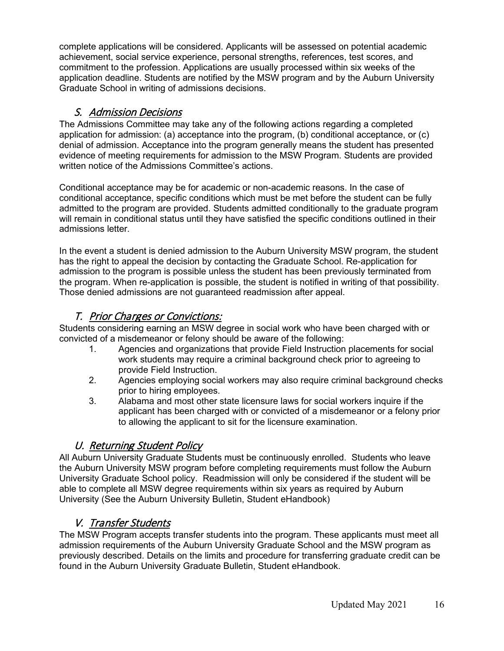complete applications will be considered. Applicants will be assessed on potential academic achievement, social service experience, personal strengths, references, test scores, and commitment to the profession. Applications are usually processed within six weeks of the application deadline. Students are notified by the MSW program and by the Auburn University Graduate School in writing of admissions decisions.

## S. Admission Decisions

The Admissions Committee may take any of the following actions regarding a completed application for admission: (a) acceptance into the program, (b) conditional acceptance, or (c) denial of admission. Acceptance into the program generally means the student has presented evidence of meeting requirements for admission to the MSW Program. Students are provided written notice of the Admissions Committee's actions.

Conditional acceptance may be for academic or non-academic reasons. In the case of conditional acceptance, specific conditions which must be met before the student can be fully admitted to the program are provided. Students admitted conditionally to the graduate program will remain in conditional status until they have satisfied the specific conditions outlined in their admissions letter.

In the event a student is denied admission to the Auburn University MSW program, the student has the right to appeal the decision by contacting the Graduate School. Re-application for admission to the program is possible unless the student has been previously terminated from the program. When re-application is possible, the student is notified in writing of that possibility. Those denied admissions are not guaranteed readmission after appeal.

## T. Prior Charges or Convictions:

Students considering earning an MSW degree in social work who have been charged with or convicted of a misdemeanor or felony should be aware of the following:

- 1. Agencies and organizations that provide Field Instruction placements for social work students may require a criminal background check prior to agreeing to provide Field Instruction.
- 2. Agencies employing social workers may also require criminal background checks prior to hiring employees.
- 3. Alabama and most other state licensure laws for social workers inquire if the applicant has been charged with or convicted of a misdemeanor or a felony prior to allowing the applicant to sit for the licensure examination.

## U. Returning Student Policy

All Auburn University Graduate Students must be continuously enrolled. Students who leave the Auburn University MSW program before completing requirements must follow the Auburn University Graduate School policy. Readmission will only be considered if the student will be able to complete all MSW degree requirements within six years as required by Auburn University (See the Auburn University Bulletin, Student eHandbook)

## V. Transfer Students

The MSW Program accepts transfer students into the program. These applicants must meet all admission requirements of the Auburn University Graduate School and the MSW program as previously described. Details on the limits and procedure for transferring graduate credit can be found in the Auburn University Graduate Bulletin, Student eHandbook.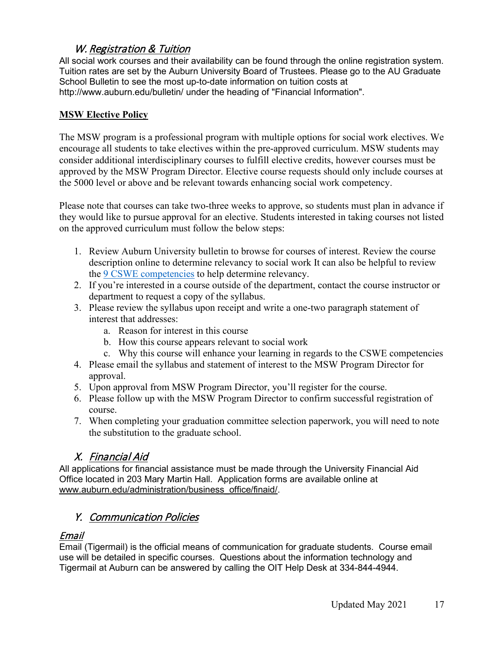## W. Registration & Tuition

All social work courses and their availability can be found through the online registration system. Tuition rates are set by the Auburn University Board of Trustees. Please go to the AU Graduate School Bulletin to see the most up-to-date information on tuition costs at http://www.auburn.edu/bulletin/ under the heading of "Financial Information".

## **MSW Elective Policy**

The MSW program is a professional program with multiple options for social work electives. We encourage all students to take electives within the pre-approved curriculum. MSW students may consider additional interdisciplinary courses to fulfill elective credits, however courses must be approved by the MSW Program Director. Elective course requests should only include courses at the 5000 level or above and be relevant towards enhancing social work competency.

Please note that courses can take two-three weeks to approve, so students must plan in advance if they would like to pursue approval for an elective. Students interested in taking courses not listed on the approved curriculum must follow the below steps:

- 1. Review Auburn University bulletin to browse for courses of interest. Review the course description online to determine relevancy to social work It can also be helpful to review the [9 CSWE competencies](https://www.cswe.org/getattachment/Accreditation/Accreditation-Process/2015-EPAS/2015EPAS_Web_FINAL.pdf.aspx) to help determine relevancy.
- 2. If you're interested in a course outside of the department, contact the course instructor or department to request a copy of the syllabus.
- 3. Please review the syllabus upon receipt and write a one-two paragraph statement of interest that addresses:
	- a. Reason for interest in this course
	- b. How this course appears relevant to social work
	- c. Why this course will enhance your learning in regards to the CSWE competencies
- 4. Please email the syllabus and statement of interest to the MSW Program Director for approval.
- 5. Upon approval from MSW Program Director, you'll register for the course.
- 6. Please follow up with the MSW Program Director to confirm successful registration of course.
- 7. When completing your graduation committee selection paperwork, you will need to note the substitution to the graduate school.

## X. Financial Aid

All applications for financial assistance must be made through the University Financial Aid Office located in 203 Mary Martin Hall. Application forms are available online at [www.auburn.edu/administration/business\\_office/finaid/.](http://www.auburn.edu/administration/business_office/finaid/)

## Y. Communication Policies

## Email

Email (Tigermail) is the official means of communication for graduate students. Course email use will be detailed in specific courses. Questions about the information technology and Tigermail at Auburn can be answered by calling the OIT Help Desk at 334-844-4944.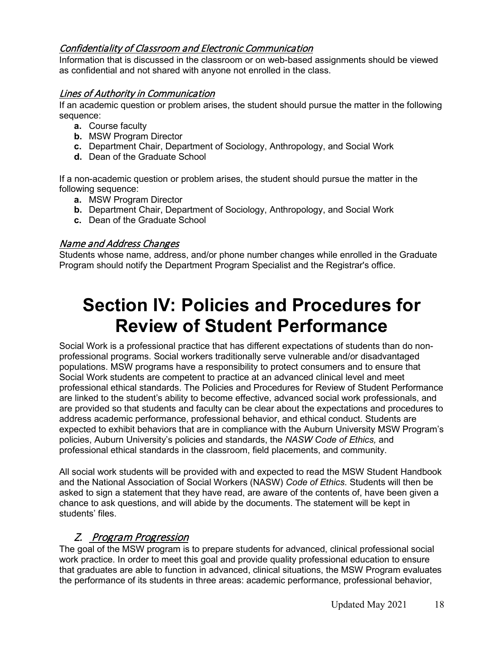## Confidentiality of Classroom and Electronic Communication

Information that is discussed in the classroom or on web-based assignments should be viewed as confidential and not shared with anyone not enrolled in the class.

## Lines of Authority in Communication

If an academic question or problem arises, the student should pursue the matter in the following sequence:

- **a.** Course faculty
- **b.** MSW Program Director
- **c.** Department Chair, Department of Sociology, Anthropology, and Social Work
- **d.** Dean of the Graduate School

If a non-academic question or problem arises, the student should pursue the matter in the following sequence:

- **a.** MSW Program Director
- **b.** Department Chair, Department of Sociology, Anthropology, and Social Work
- **c.** Dean of the Graduate School

## Name and Address Changes

Students whose name, address, and/or phone number changes while enrolled in the Graduate Program should notify the Department Program Specialist and the Registrar's office.

## **Section IV: Policies and Procedures for Review of Student Performance**

Social Work is a professional practice that has different expectations of students than do nonprofessional programs. Social workers traditionally serve vulnerable and/or disadvantaged populations. MSW programs have a responsibility to protect consumers and to ensure that Social Work students are competent to practice at an advanced clinical level and meet professional ethical standards. The Policies and Procedures for Review of Student Performance are linked to the student's ability to become effective, advanced social work professionals, and are provided so that students and faculty can be clear about the expectations and procedures to address academic performance, professional behavior, and ethical conduct. Students are expected to exhibit behaviors that are in compliance with the Auburn University MSW Program's policies, Auburn University's policies and standards, the *NASW Code of Ethics,* and professional ethical standards in the classroom, field placements, and community.

All social work students will be provided with and expected to read the MSW Student Handbook and the National Association of Social Workers (NASW) *Code of Ethics*. Students will then be asked to sign a statement that they have read, are aware of the contents of, have been given a chance to ask questions, and will abide by the documents. The statement will be kept in students' files.

## Z. Program Progression

The goal of the MSW program is to prepare students for advanced, clinical professional social work practice. In order to meet this goal and provide quality professional education to ensure that graduates are able to function in advanced, clinical situations, the MSW Program evaluates the performance of its students in three areas: academic performance, professional behavior,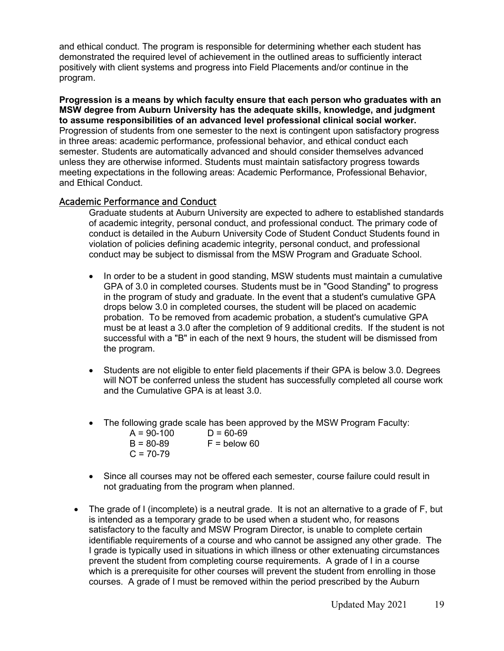and ethical conduct. The program is responsible for determining whether each student has demonstrated the required level of achievement in the outlined areas to sufficiently interact positively with client systems and progress into Field Placements and/or continue in the program.

**Progression is a means by which faculty ensure that each person who graduates with an MSW degree from Auburn University has the adequate skills, knowledge, and judgment to assume responsibilities of an advanced level professional clinical social worker.** Progression of students from one semester to the next is contingent upon satisfactory progress in three areas: academic performance, professional behavior, and ethical conduct each semester. Students are automatically advanced and should consider themselves advanced unless they are otherwise informed. Students must maintain satisfactory progress towards meeting expectations in the following areas: Academic Performance, Professional Behavior, and Ethical Conduct.

#### Academic Performance and Conduct

Graduate students at Auburn University are expected to adhere to established standards of academic integrity, personal conduct, and professional conduct. The primary code of conduct is detailed in the Auburn University Code of Student Conduct Students found in violation of policies defining academic integrity, personal conduct, and professional conduct may be subject to dismissal from the MSW Program and Graduate School.

- In order to be a student in good standing, MSW students must maintain a cumulative GPA of 3.0 in completed courses. Students must be in "Good Standing" to progress in the program of study and graduate. In the event that a student's cumulative GPA drops below 3.0 in completed courses, the student will be placed on academic probation. To be removed from academic probation, a student's cumulative GPA must be at least a 3.0 after the completion of 9 additional credits. If the student is not successful with a "B" in each of the next 9 hours, the student will be dismissed from the program.
- Students are not eligible to enter field placements if their GPA is below 3.0. Degrees will NOT be conferred unless the student has successfully completed all course work and the Cumulative GPA is at least 3.0.
- The following grade scale has been approved by the MSW Program Faculty:
	- A = 90-100 D = 60-69<br>B = 80-89 F = below  $F =$  below 60  $C = 70-79$
- Since all courses may not be offered each semester, course failure could result in not graduating from the program when planned.
- The grade of I (incomplete) is a neutral grade. It is not an alternative to a grade of F, but is intended as a temporary grade to be used when a student who, for reasons satisfactory to the faculty and MSW Program Director, is unable to complete certain identifiable requirements of a course and who cannot be assigned any other grade. The I grade is typically used in situations in which illness or other extenuating circumstances prevent the student from completing course requirements. A grade of I in a course which is a prerequisite for other courses will prevent the student from enrolling in those courses. A grade of I must be removed within the period prescribed by the Auburn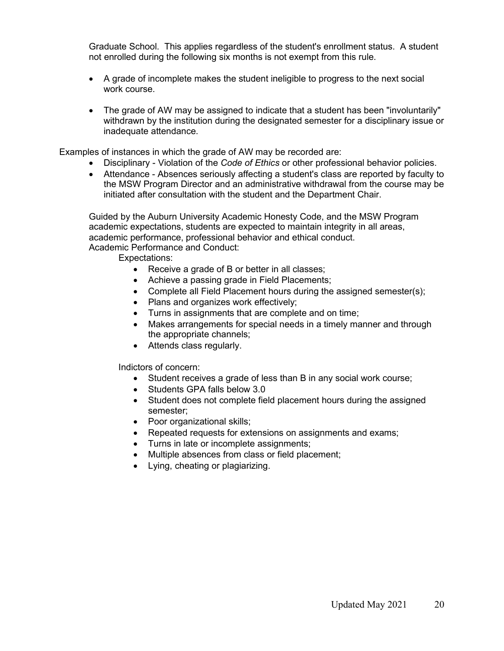Graduate School. This applies regardless of the student's enrollment status. A student not enrolled during the following six months is not exempt from this rule.

- A grade of incomplete makes the student ineligible to progress to the next social work course.
- The grade of AW may be assigned to indicate that a student has been "involuntarily" withdrawn by the institution during the designated semester for a disciplinary issue or inadequate attendance.

Examples of instances in which the grade of AW may be recorded are:

- Disciplinary Violation of the *Code of Ethics* or other professional behavior policies.
- Attendance Absences seriously affecting a student's class are reported by faculty to the MSW Program Director and an administrative withdrawal from the course may be initiated after consultation with the student and the Department Chair.

Guided by the Auburn University Academic Honesty Code, and the MSW Program academic expectations, students are expected to maintain integrity in all areas, academic performance, professional behavior and ethical conduct. Academic Performance and Conduct:

Expectations:

- Receive a grade of B or better in all classes;
- Achieve a passing grade in Field Placements;
- Complete all Field Placement hours during the assigned semester(s);
- Plans and organizes work effectively;
- Turns in assignments that are complete and on time;
- Makes arrangements for special needs in a timely manner and through the appropriate channels;
- Attends class regularly.

Indictors of concern:

- Student receives a grade of less than B in any social work course;
	- Students GPA falls below 3.0
	- Student does not complete field placement hours during the assigned semester;
	- Poor organizational skills;
	- Repeated requests for extensions on assignments and exams;
- Turns in late or incomplete assignments;
- Multiple absences from class or field placement;
- Lying, cheating or plagiarizing.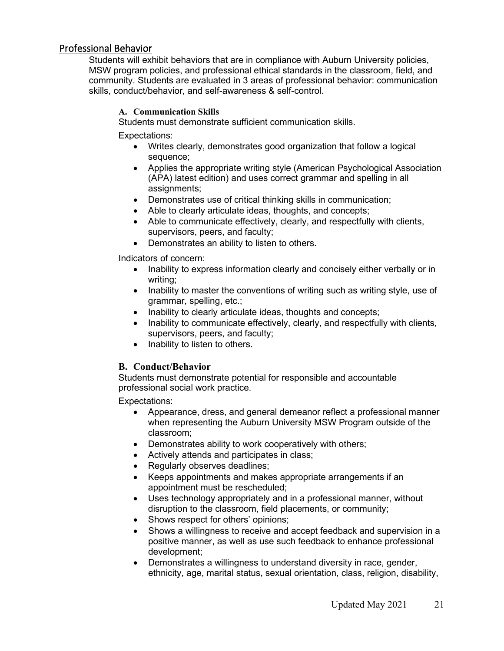### Professional Behavior

Students will exhibit behaviors that are in compliance with Auburn University policies, MSW program policies, and professional ethical standards in the classroom, field, and community. Students are evaluated in 3 areas of professional behavior: communication skills, conduct/behavior, and self-awareness & self-control.

#### **A. Communication Skills**

Students must demonstrate sufficient communication skills.

Expectations:

- Writes clearly, demonstrates good organization that follow a logical sequence;
- Applies the appropriate writing style (American Psychological Association (APA) latest edition) and uses correct grammar and spelling in all assignments;
- Demonstrates use of critical thinking skills in communication;
- Able to clearly articulate ideas, thoughts, and concepts;
- Able to communicate effectively, clearly, and respectfully with clients, supervisors, peers, and faculty;
- Demonstrates an ability to listen to others.

Indicators of concern:

- Inability to express information clearly and concisely either verbally or in writing;
- Inability to master the conventions of writing such as writing style, use of grammar, spelling, etc.;
- Inability to clearly articulate ideas, thoughts and concepts;
- Inability to communicate effectively, clearly, and respectfully with clients, supervisors, peers, and faculty;
- Inability to listen to others.

#### **B. Conduct/Behavior**

Students must demonstrate potential for responsible and accountable professional social work practice.

Expectations:

- Appearance, dress, and general demeanor reflect a professional manner when representing the Auburn University MSW Program outside of the classroom;
- Demonstrates ability to work cooperatively with others;
- Actively attends and participates in class;
- Regularly observes deadlines;
- Keeps appointments and makes appropriate arrangements if an appointment must be rescheduled;
- Uses technology appropriately and in a professional manner, without disruption to the classroom, field placements, or community;
- Shows respect for others' opinions;
- Shows a willingness to receive and accept feedback and supervision in a positive manner, as well as use such feedback to enhance professional development;
- Demonstrates a willingness to understand diversity in race, gender, ethnicity, age, marital status, sexual orientation, class, religion, disability,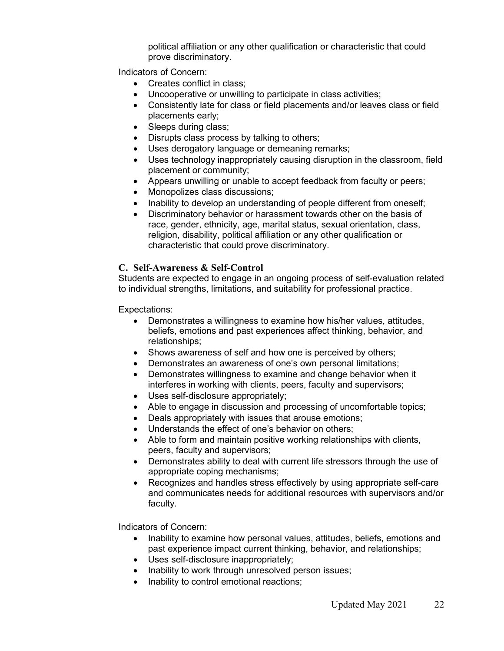political affiliation or any other qualification or characteristic that could prove discriminatory.

Indicators of Concern:

- Creates conflict in class:
- Uncooperative or unwilling to participate in class activities;
- Consistently late for class or field placements and/or leaves class or field placements early;
- Sleeps during class;
- Disrupts class process by talking to others;
- Uses derogatory language or demeaning remarks;
- Uses technology inappropriately causing disruption in the classroom, field placement or community;
- Appears unwilling or unable to accept feedback from faculty or peers;
- Monopolizes class discussions;
- Inability to develop an understanding of people different from oneself;
- Discriminatory behavior or harassment towards other on the basis of race, gender, ethnicity, age, marital status, sexual orientation, class, religion, disability, political affiliation or any other qualification or characteristic that could prove discriminatory.

#### **C. Self-Awareness & Self-Control**

Students are expected to engage in an ongoing process of self-evaluation related to individual strengths, limitations, and suitability for professional practice.

Expectations:

- Demonstrates a willingness to examine how his/her values, attitudes, beliefs, emotions and past experiences affect thinking, behavior, and relationships;
- Shows awareness of self and how one is perceived by others;
- Demonstrates an awareness of one's own personal limitations;
- Demonstrates willingness to examine and change behavior when it interferes in working with clients, peers, faculty and supervisors;
- Uses self-disclosure appropriately;
- Able to engage in discussion and processing of uncomfortable topics;
- Deals appropriately with issues that arouse emotions;
- Understands the effect of one's behavior on others;
- Able to form and maintain positive working relationships with clients, peers, faculty and supervisors;
- Demonstrates ability to deal with current life stressors through the use of appropriate coping mechanisms;
- Recognizes and handles stress effectively by using appropriate self-care and communicates needs for additional resources with supervisors and/or faculty.

Indicators of Concern:

- Inability to examine how personal values, attitudes, beliefs, emotions and past experience impact current thinking, behavior, and relationships;
- Uses self-disclosure inappropriately;
- Inability to work through unresolved person issues;
- Inability to control emotional reactions;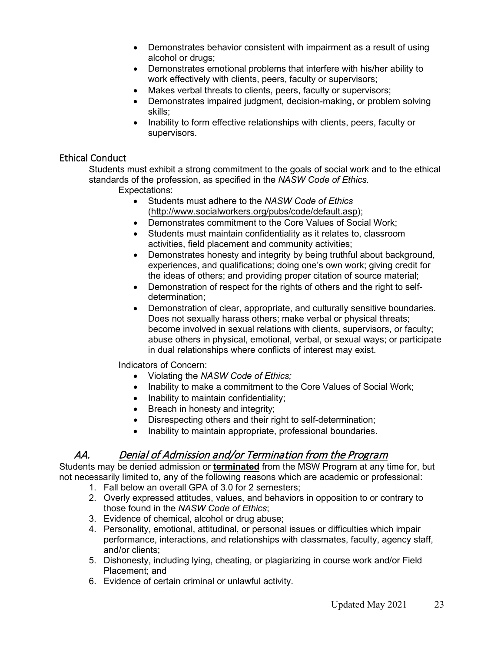- Demonstrates behavior consistent with impairment as a result of using alcohol or drugs;
- Demonstrates emotional problems that interfere with his/her ability to work effectively with clients, peers, faculty or supervisors;
- Makes verbal threats to clients, peers, faculty or supervisors;
- Demonstrates impaired judgment, decision-making, or problem solving skills;
- Inability to form effective relationships with clients, peers, faculty or supervisors.

## Ethical Conduct

Students must exhibit a strong commitment to the goals of social work and to the ethical standards of the profession, as specified in the *NASW Code of Ethics.*

Expectations:

- Students must adhere to the *NASW Code of Ethics*  [\(http://www.socialworkers.org/pubs/code/default.asp\)](http://www.socialworkers.org/pubs/code/default.asp);
- Demonstrates commitment to the Core Values of Social Work;
- Students must maintain confidentiality as it relates to, classroom activities, field placement and community activities;
- Demonstrates honesty and integrity by being truthful about background, experiences, and qualifications; doing one's own work; giving credit for the ideas of others; and providing proper citation of source material;
- Demonstration of respect for the rights of others and the right to selfdetermination;
- Demonstration of clear, appropriate, and culturally sensitive boundaries. Does not sexually harass others; make verbal or physical threats; become involved in sexual relations with clients, supervisors, or faculty; abuse others in physical, emotional, verbal, or sexual ways; or participate in dual relationships where conflicts of interest may exist.

Indicators of Concern:

- Violating the *NASW Code of Ethics;*
- Inability to make a commitment to the Core Values of Social Work;
- Inability to maintain confidentiality;
- Breach in honesty and integrity;
- Disrespecting others and their right to self-determination;
- Inability to maintain appropriate, professional boundaries.

## AA. Denial of Admission and/or Termination from the Program

Students may be denied admission or **terminated** from the MSW Program at any time for, but not necessarily limited to, any of the following reasons which are academic or professional:

- 1. Fall below an overall GPA of 3.0 for 2 semesters;
- 2. Overly expressed attitudes, values, and behaviors in opposition to or contrary to those found in the *NASW Code of Ethics*;
- 3. Evidence of chemical, alcohol or drug abuse;
- 4. Personality, emotional, attitudinal, or personal issues or difficulties which impair performance, interactions, and relationships with classmates, faculty, agency staff, and/or clients;
- 5. Dishonesty, including lying, cheating, or plagiarizing in course work and/or Field Placement; and
- 6. Evidence of certain criminal or unlawful activity.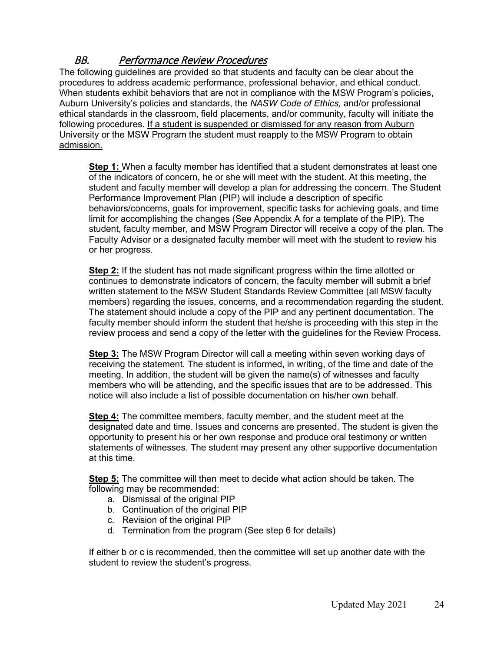## BB. Performance Review Procedures

The following guidelines are provided so that students and faculty can be clear about the procedures to address academic performance, professional behavior, and ethical conduct. When students exhibit behaviors that are not in compliance with the MSW Program's policies, Auburn University's policies and standards, the *NASW Code of Ethics,* and/or professional ethical standards in the classroom, field placements, and/or community, faculty will initiate the following procedures. If a student is suspended or dismissed for any reason from Auburn University or the MSW Program the student must reapply to the MSW Program to obtain admission.

**Step 1:** When a faculty member has identified that a student demonstrates at least one of the indicators of concern, he or she will meet with the student. At this meeting, the student and faculty member will develop a plan for addressing the concern. The Student Performance Improvement Plan (PIP) will include a description of specific behaviors/concerns, goals for improvement, specific tasks for achieving goals, and time limit for accomplishing the changes (See Appendix A for a template of the PIP). The student, faculty member, and MSW Program Director will receive a copy of the plan. The Faculty Advisor or a designated faculty member will meet with the student to review his or her progress.

**Step 2:** If the student has not made significant progress within the time allotted or continues to demonstrate indicators of concern, the faculty member will submit a brief written statement to the MSW Student Standards Review Committee (all MSW faculty members) regarding the issues, concerns, and a recommendation regarding the student. The statement should include a copy of the PIP and any pertinent documentation. The faculty member should inform the student that he/she is proceeding with this step in the review process and send a copy of the letter with the guidelines for the Review Process.

**Step 3:** The MSW Program Director will call a meeting within seven working days of receiving the statement. The student is informed, in writing, of the time and date of the meeting. In addition, the student will be given the name(s) of witnesses and faculty members who will be attending, and the specific issues that are to be addressed. This notice will also include a list of possible documentation on his/her own behalf.

**Step 4:** The committee members, faculty member, and the student meet at the designated date and time. Issues and concerns are presented. The student is given the opportunity to present his or her own response and produce oral testimony or written statements of witnesses. The student may present any other supportive documentation at this time.

**Step 5:** The committee will then meet to decide what action should be taken. The following may be recommended:

- a. Dismissal of the original PIP
- b. Continuation of the original PIP
- c. Revision of the original PIP
- d. Termination from the program (See step 6 for details)

If either b or c is recommended, then the committee will set up another date with the student to review the student's progress.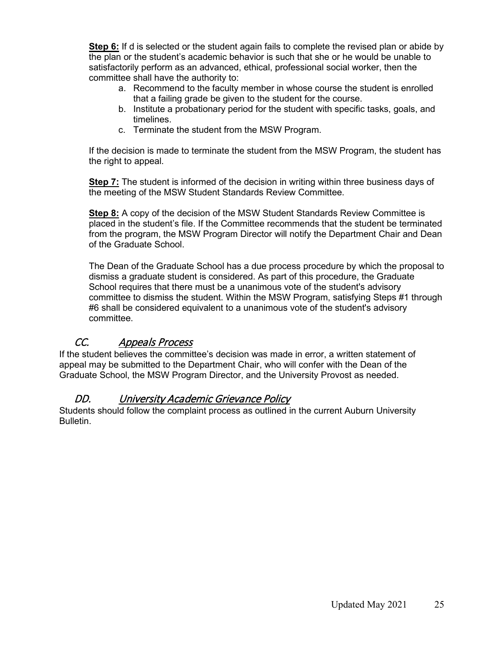**Step 6:** If d is selected or the student again fails to complete the revised plan or abide by the plan or the student's academic behavior is such that she or he would be unable to satisfactorily perform as an advanced, ethical, professional social worker, then the committee shall have the authority to:

- a. Recommend to the faculty member in whose course the student is enrolled that a failing grade be given to the student for the course.
- b. Institute a probationary period for the student with specific tasks, goals, and timelines.
- c. Terminate the student from the MSW Program.

If the decision is made to terminate the student from the MSW Program, the student has the right to appeal.

**Step 7:** The student is informed of the decision in writing within three business days of the meeting of the MSW Student Standards Review Committee.

**Step 8:** A copy of the decision of the MSW Student Standards Review Committee is placed in the student's file. If the Committee recommends that the student be terminated from the program, the MSW Program Director will notify the Department Chair and Dean of the Graduate School.

The Dean of the Graduate School has a due process procedure by which the proposal to dismiss a graduate student is considered. As part of this procedure, the Graduate School requires that there must be a unanimous vote of the student's advisory committee to dismiss the student. Within the MSW Program, satisfying Steps #1 through #6 shall be considered equivalent to a unanimous vote of the student's advisory committee.

## CC. Appeals Process

If the student believes the committee's decision was made in error, a written statement of appeal may be submitted to the Department Chair, who will confer with the Dean of the Graduate School, the MSW Program Director, and the University Provost as needed.

## DD. University Academic Grievance Policy

Students should follow the complaint process as outlined in the current Auburn University Bulletin.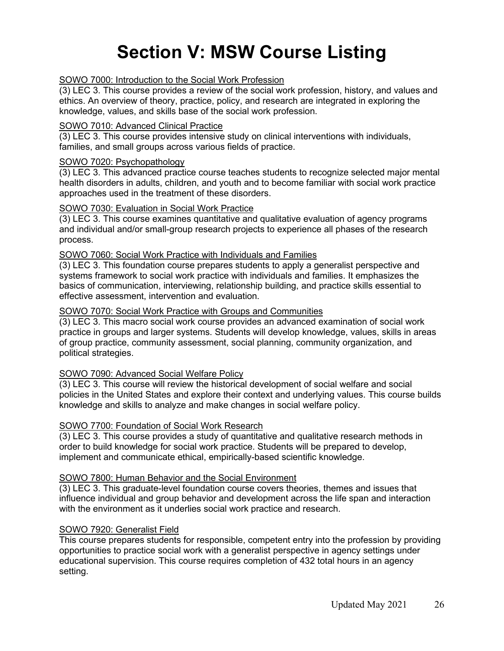# **Section V: MSW Course Listing**

#### SOWO 7000: Introduction to the Social Work Profession

(3) LEC 3. This course provides a review of the social work profession, history, and values and ethics. An overview of theory, practice, policy, and research are integrated in exploring the knowledge, values, and skills base of the social work profession.

#### SOWO 7010: Advanced Clinical Practice

(3) LEC 3. This course provides intensive study on clinical interventions with individuals, families, and small groups across various fields of practice.

#### SOWO 7020: Psychopathology

(3) LEC 3. This advanced practice course teaches students to recognize selected major mental health disorders in adults, children, and youth and to become familiar with social work practice approaches used in the treatment of these disorders.

#### SOWO 7030: Evaluation in Social Work Practice

(3) LEC 3. This course examines quantitative and qualitative evaluation of agency programs and individual and/or small-group research projects to experience all phases of the research process.

#### SOWO 7060: Social Work Practice with Individuals and Families

(3) LEC 3. This foundation course prepares students to apply a generalist perspective and systems framework to social work practice with individuals and families. It emphasizes the basics of communication, interviewing, relationship building, and practice skills essential to effective assessment, intervention and evaluation.

#### SOWO 7070: Social Work Practice with Groups and Communities

(3) LEC 3. This macro social work course provides an advanced examination of social work practice in groups and larger systems. Students will develop knowledge, values, skills in areas of group practice, community assessment, social planning, community organization, and political strategies.

#### SOWO 7090: Advanced Social Welfare Policy

(3) LEC 3. This course will review the historical development of social welfare and social policies in the United States and explore their context and underlying values. This course builds knowledge and skills to analyze and make changes in social welfare policy.

#### SOWO 7700: Foundation of Social Work Research

(3) LEC 3. This course provides a study of quantitative and qualitative research methods in order to build knowledge for social work practice. Students will be prepared to develop, implement and communicate ethical, empirically-based scientific knowledge.

#### SOWO 7800: Human Behavior and the Social Environment

(3) LEC 3. This graduate-level foundation course covers theories, themes and issues that influence individual and group behavior and development across the life span and interaction with the environment as it underlies social work practice and research.

#### SOWO 7920: Generalist Field

This course prepares students for responsible, competent entry into the profession by providing opportunities to practice social work with a generalist perspective in agency settings under educational supervision. This course requires completion of 432 total hours in an agency setting.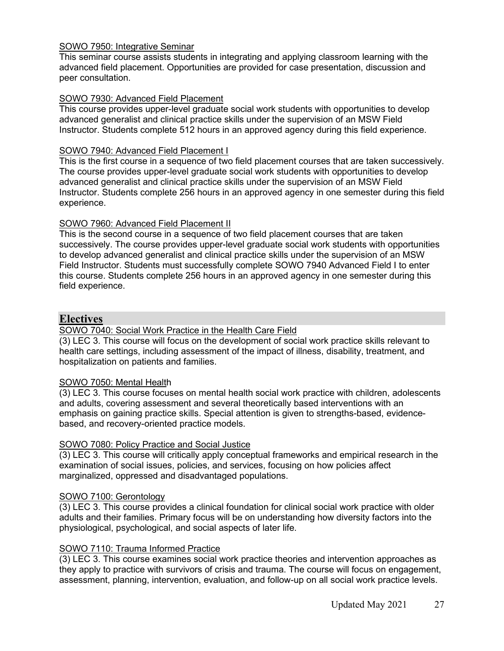## SOWO 7950: Integrative Seminar

This seminar course assists students in integrating and applying classroom learning with the advanced field placement. Opportunities are provided for case presentation, discussion and peer consultation.

#### SOWO 7930: Advanced Field Placement

This course provides upper-level graduate social work students with opportunities to develop advanced generalist and clinical practice skills under the supervision of an MSW Field Instructor. Students complete 512 hours in an approved agency during this field experience.

#### SOWO 7940: Advanced Field Placement I

This is the first course in a sequence of two field placement courses that are taken successively. The course provides upper-level graduate social work students with opportunities to develop advanced generalist and clinical practice skills under the supervision of an MSW Field Instructor. Students complete 256 hours in an approved agency in one semester during this field experience.

#### SOWO 7960: Advanced Field Placement II

This is the second course in a sequence of two field placement courses that are taken successively. The course provides upper-level graduate social work students with opportunities to develop advanced generalist and clinical practice skills under the supervision of an MSW Field Instructor. Students must successfully complete SOWO 7940 Advanced Field I to enter this course. Students complete 256 hours in an approved agency in one semester during this field experience.

#### **Electives**

#### SOWO 7040: Social Work Practice in the Health Care Field

(3) LEC 3. This course will focus on the development of social work practice skills relevant to health care settings, including assessment of the impact of illness, disability, treatment, and hospitalization on patients and families.

#### SOWO 7050: Mental Health

(3) LEC 3. This course focuses on mental health social work practice with children, adolescents and adults, covering assessment and several theoretically based interventions with an emphasis on gaining practice skills. Special attention is given to strengths-based, evidencebased, and recovery-oriented practice models.

#### SOWO 7080: Policy Practice and Social Justice

(3) LEC 3. This course will critically apply conceptual frameworks and empirical research in the examination of social issues, policies, and services, focusing on how policies affect marginalized, oppressed and disadvantaged populations.

#### SOWO 7100: Gerontology

(3) LEC 3. This course provides a clinical foundation for clinical social work practice with older adults and their families. Primary focus will be on understanding how diversity factors into the physiological, psychological, and social aspects of later life.

#### SOWO 7110: Trauma Informed Practice

(3) LEC 3. This course examines social work practice theories and intervention approaches as they apply to practice with survivors of crisis and trauma. The course will focus on engagement, assessment, planning, intervention, evaluation, and follow-up on all social work practice levels.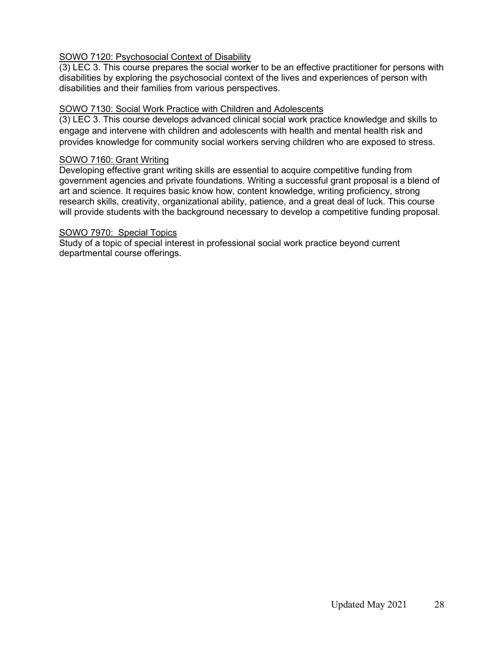### SOWO 7120: Psychosocial Context of Disability

(3) LEC 3. This course prepares the social worker to be an effective practitioner for persons with disabilities by exploring the psychosocial context of the lives and experiences of person with disabilities and their families from various perspectives.

#### SOWO 7130: Social Work Practice with Children and Adolescents

(3) LEC 3. This course develops advanced clinical social work practice knowledge and skills to engage and intervene with children and adolescents with health and mental health risk and provides knowledge for community social workers serving children who are exposed to stress.

#### SOWO 7160: Grant Writing

Developing effective grant writing skills are essential to acquire competitive funding from government agencies and private foundations. Writing a successful grant proposal is a blend of art and science. It requires basic know how, content knowledge, writing proficiency, strong research skills, creativity, organizational ability, patience, and a great deal of luck. This course will provide students with the background necessary to develop a competitive funding proposal.

#### SOWO 7970: Special Topics

Study of a topic of special interest in professional social work practice beyond current departmental course offerings.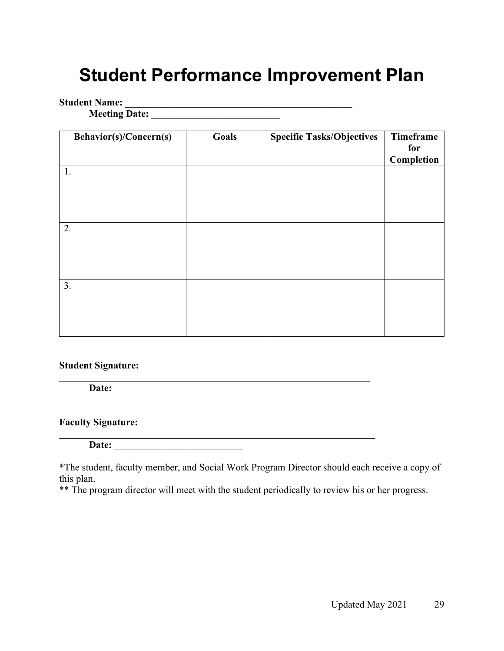## **Student Performance Improvement Plan**

## **Student Name:** \_\_\_\_\_\_\_\_\_\_\_\_\_\_\_\_\_\_\_\_\_\_\_\_\_\_\_\_\_\_\_\_\_\_\_\_\_\_\_\_\_\_\_\_\_\_

**Meeting Date:** \_\_\_\_\_\_\_\_\_\_\_\_\_\_\_\_\_\_\_\_\_\_\_\_\_\_

| <b>Behavior(s)/Concern(s)</b> | Goals | <b>Specific Tasks/Objectives</b> | Timeframe<br>for<br>Completion |
|-------------------------------|-------|----------------------------------|--------------------------------|
| 1.                            |       |                                  |                                |
| 2.                            |       |                                  |                                |
|                               |       |                                  |                                |
| 3.                            |       |                                  |                                |

## **Student Signature:**

\_\_\_\_\_\_\_\_\_\_\_\_\_\_\_\_\_\_\_\_\_\_\_\_\_\_\_\_\_\_\_\_\_\_\_\_\_\_\_\_\_\_\_\_\_\_\_\_\_\_\_\_\_\_\_\_\_\_\_\_\_\_\_ **Date:** \_\_\_\_\_\_\_\_\_\_\_\_\_\_\_\_\_\_\_\_\_\_\_\_\_\_

## **Faculty Signature:**

**Date:** \_\_\_\_\_\_\_\_\_\_\_\_\_\_\_\_\_\_\_\_\_\_\_\_\_\_

\*The student, faculty member, and Social Work Program Director should each receive a copy of this plan.

 $\overline{\phantom{a}}$  , and the set of the set of the set of the set of the set of the set of the set of the set of the set of the set of the set of the set of the set of the set of the set of the set of the set of the set of the s

\*\* The program director will meet with the student periodically to review his or her progress.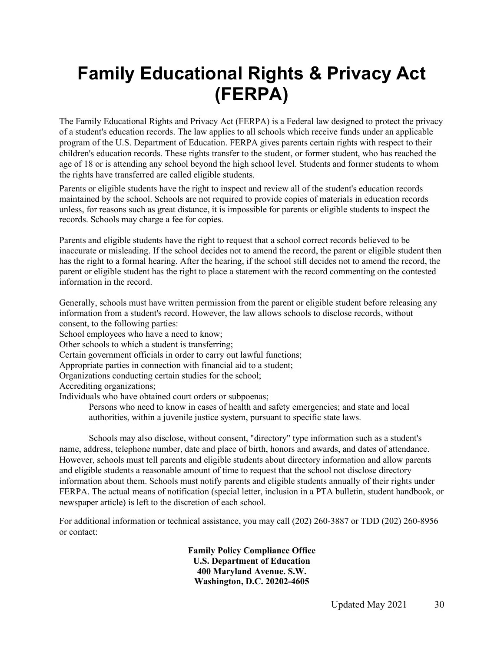# **Family Educational Rights & Privacy Act (FERPA)**

The Family Educational Rights and Privacy Act (FERPA) is a Federal law designed to protect the privacy of a student's education records. The law applies to all schools which receive funds under an applicable program of the U.S. Department of Education. FERPA gives parents certain rights with respect to their children's education records. These rights transfer to the student, or former student, who has reached the age of 18 or is attending any school beyond the high school level. Students and former students to whom the rights have transferred are called eligible students.

Parents or eligible students have the right to inspect and review all of the student's education records maintained by the school. Schools are not required to provide copies of materials in education records unless, for reasons such as great distance, it is impossible for parents or eligible students to inspect the records. Schools may charge a fee for copies.

Parents and eligible students have the right to request that a school correct records believed to be inaccurate or misleading. If the school decides not to amend the record, the parent or eligible student then has the right to a formal hearing. After the hearing, if the school still decides not to amend the record, the parent or eligible student has the right to place a statement with the record commenting on the contested information in the record.

Generally, schools must have written permission from the parent or eligible student before releasing any information from a student's record. However, the law allows schools to disclose records, without consent, to the following parties:

School employees who have a need to know;

Other schools to which a student is transferring;

Certain government officials in order to carry out lawful functions;

Appropriate parties in connection with financial aid to a student;

Organizations conducting certain studies for the school;

Accrediting organizations;

Individuals who have obtained court orders or subpoenas;

Persons who need to know in cases of health and safety emergencies; and state and local authorities, within a juvenile justice system, pursuant to specific state laws.

Schools may also disclose, without consent, "directory" type information such as a student's name, address, telephone number, date and place of birth, honors and awards, and dates of attendance. However, schools must tell parents and eligible students about directory information and allow parents and eligible students a reasonable amount of time to request that the school not disclose directory information about them. Schools must notify parents and eligible students annually of their rights under FERPA. The actual means of notification (special letter, inclusion in a PTA bulletin, student handbook, or newspaper article) is left to the discretion of each school.

For additional information or technical assistance, you may call (202) 260-3887 or TDD (202) 260-8956 or contact:

> **Family Policy Compliance Office U.S. Department of Education 400 Maryland Avenue. S.W. Washington, D.C. 20202-4605**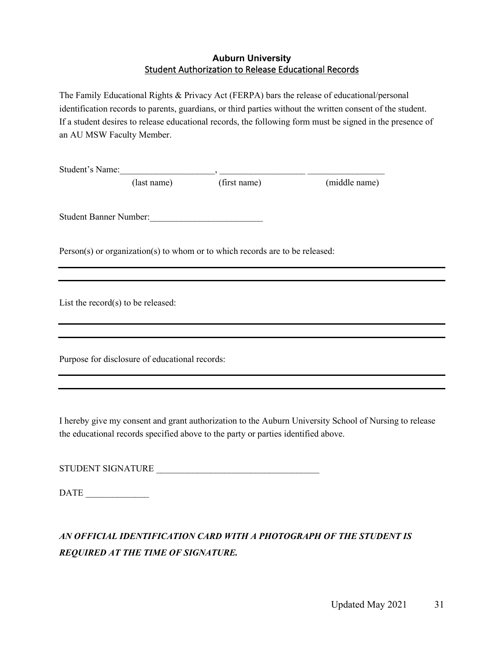#### **Auburn University**  Student Authorization to Release Educational Records

The Family Educational Rights & Privacy Act (FERPA) bars the release of educational/personal identification records to parents, guardians, or third parties without the written consent of the student. If a student desires to release educational records, the following form must be signed in the presence of an AU MSW Faculty Member.

|                                                                              | (last name) (first name)                                                                                                                         | (middle name)                                                                                          |  |
|------------------------------------------------------------------------------|--------------------------------------------------------------------------------------------------------------------------------------------------|--------------------------------------------------------------------------------------------------------|--|
|                                                                              |                                                                                                                                                  |                                                                                                        |  |
| Student Banner Number:                                                       |                                                                                                                                                  |                                                                                                        |  |
| Person(s) or organization(s) to whom or to which records are to be released: |                                                                                                                                                  |                                                                                                        |  |
|                                                                              |                                                                                                                                                  |                                                                                                        |  |
| List the record $(s)$ to be released:                                        |                                                                                                                                                  |                                                                                                        |  |
|                                                                              |                                                                                                                                                  |                                                                                                        |  |
| Purpose for disclosure of educational records:                               | ,我们也不能在这里的时候,我们也不能在这里的时候,我们也不能不能不能会不能会不能会不能会不能会不能会不能会不能会不能会。<br>第2012章 我们的时候,我们的时候,我们的时候,我们的时候,我们的时候,我们的时候,我们的时候,我们的时候,我们的时候,我们的时候,我们的时候,我们的时候,我 |                                                                                                        |  |
|                                                                              |                                                                                                                                                  |                                                                                                        |  |
|                                                                              |                                                                                                                                                  |                                                                                                        |  |
|                                                                              |                                                                                                                                                  | I hereby give my consent and grant authorization to the Auburn University School of Nursing to release |  |

the educational records specified above to the party or parties identified above.

STUDENT SIGNATURE \_\_\_\_\_\_\_\_\_\_\_\_\_\_\_\_\_\_\_\_\_\_\_\_\_\_\_\_\_\_\_\_\_\_\_\_

DATE  $\overline{ }$ 

## *AN OFFICIAL IDENTIFICATION CARD WITH A PHOTOGRAPH OF THE STUDENT IS REQUIRED AT THE TIME OF SIGNATURE.*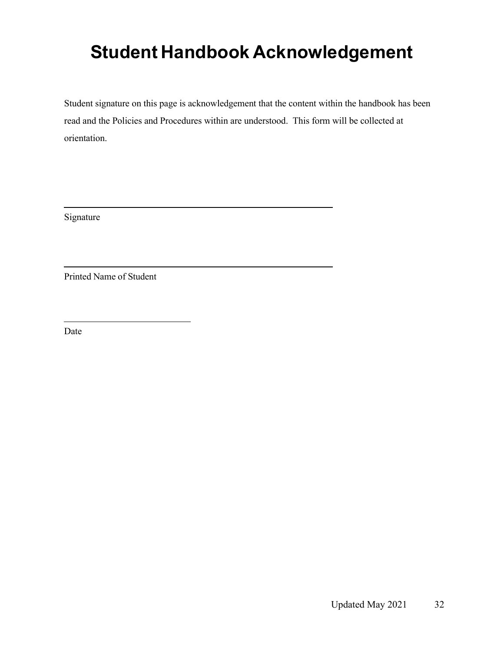# **Student Handbook Acknowledgement**

Student signature on this page is acknowledgement that the content within the handbook has been read and the Policies and Procedures within are understood. This form will be collected at orientation.

Signature

Printed Name of Student

Date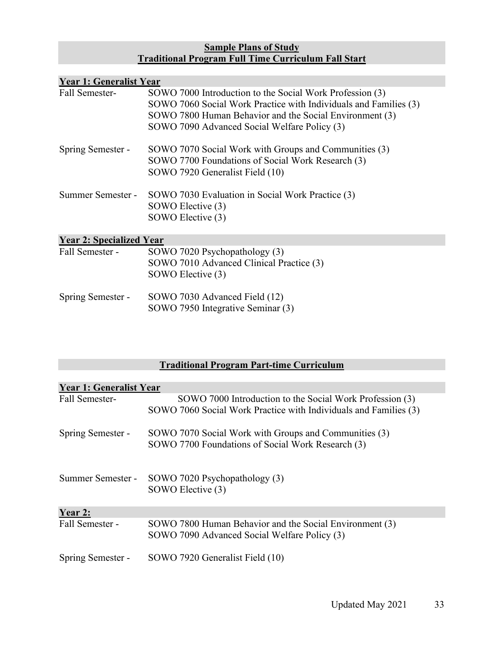#### **Sample Plans of Study Traditional Program Full Time Curriculum Fall Start**

| <b>Year 1: Generalist Year</b>  |                                                                                                                                                                                                                                         |  |  |
|---------------------------------|-----------------------------------------------------------------------------------------------------------------------------------------------------------------------------------------------------------------------------------------|--|--|
| Fall Semester-                  | SOWO 7000 Introduction to the Social Work Profession (3)<br>SOWO 7060 Social Work Practice with Individuals and Families (3)<br>SOWO 7800 Human Behavior and the Social Environment (3)<br>SOWO 7090 Advanced Social Welfare Policy (3) |  |  |
| Spring Semester -               | SOWO 7070 Social Work with Groups and Communities (3)<br>SOWO 7700 Foundations of Social Work Research (3)<br>SOWO 7920 Generalist Field (10)                                                                                           |  |  |
| Summer Semester -               | SOWO 7030 Evaluation in Social Work Practice (3)<br>SOWO Elective (3)<br>SOWO Elective (3)                                                                                                                                              |  |  |
| <b>Year 2: Specialized Year</b> |                                                                                                                                                                                                                                         |  |  |
| Fall Semester -                 | SOWO 7020 Psychopathology (3)<br>SOWO 7010 Advanced Clinical Practice (3)<br>SOWO Elective (3)                                                                                                                                          |  |  |
| Spring Semester -               | SOWO 7030 Advanced Field (12)<br>SOWO 7950 Integrative Seminar (3)                                                                                                                                                                      |  |  |

## **Traditional Program Part-time Curriculum**

| <b>Year 1: Generalist Year</b> |                                                                                                                              |
|--------------------------------|------------------------------------------------------------------------------------------------------------------------------|
| Fall Semester-                 | SOWO 7000 Introduction to the Social Work Profession (3)<br>SOWO 7060 Social Work Practice with Individuals and Families (3) |
| Spring Semester -              | SOWO 7070 Social Work with Groups and Communities (3)<br>SOWO 7700 Foundations of Social Work Research (3)                   |
| Summer Semester -              | SOWO 7020 Psychopathology (3)<br>SOWO Elective (3)                                                                           |
| Year 2:                        |                                                                                                                              |
| Fall Semester -                | SOWO 7800 Human Behavior and the Social Environment (3)<br>SOWO 7090 Advanced Social Welfare Policy (3)                      |
| Spring Semester -              | SOWO 7920 Generalist Field (10)                                                                                              |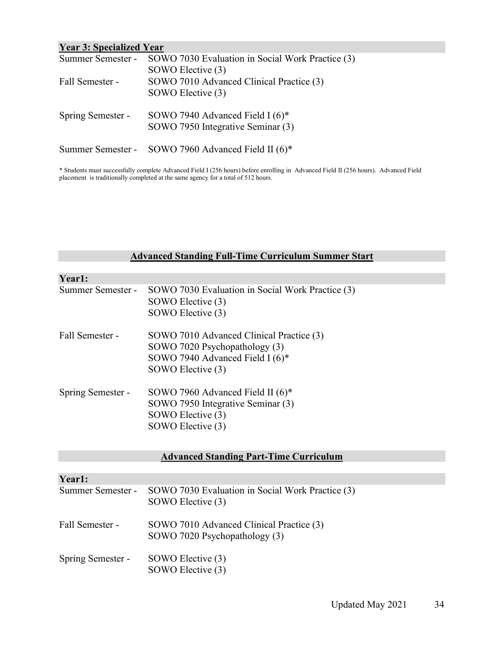| <b>Year 3: Specialized Year</b> |                                                                    |  |
|---------------------------------|--------------------------------------------------------------------|--|
|                                 | Summer Semester - SOWO 7030 Evaluation in Social Work Practice (3) |  |
|                                 | SOWO Elective (3)                                                  |  |
| Fall Semester -                 | SOWO 7010 Advanced Clinical Practice (3)                           |  |
|                                 | SOWO Elective (3)                                                  |  |
| Spring Semester -               | SOWO 7940 Advanced Field I $(6)^*$                                 |  |
|                                 | SOWO 7950 Integrative Seminar (3)                                  |  |
|                                 | Summer Semester - SOWO 7960 Advanced Field II (6)*                 |  |
|                                 |                                                                    |  |

\* Students must successfully complete Advanced Field I (256 hours) before enrolling in Advanced Field II (256 hours). Advanced Field placement is traditionally completed at the same agency for a total of 512 hours.

#### **Advanced Standing Full-Time Curriculum Summer Start**

| Year1:            |                                                                                                                                   |
|-------------------|-----------------------------------------------------------------------------------------------------------------------------------|
| Summer Semester - | SOWO 7030 Evaluation in Social Work Practice (3)<br>SOWO Elective (3)<br>SOWO Elective (3)                                        |
| Fall Semester -   | SOWO 7010 Advanced Clinical Practice (3)<br>SOWO 7020 Psychopathology (3)<br>SOWO 7940 Advanced Field I (6)*<br>SOWO Elective (3) |
| Spring Semester - | SOWO 7960 Advanced Field II $(6)^*$<br>SOWO 7950 Integrative Seminar (3)<br>SOWO Elective (3)<br>SOWO Elective (3)                |

## **Advanced Standing Part-Time Curriculum**

| SOWO 7030 Evaluation in Social Work Practice (3) |
|--------------------------------------------------|
| SOWO Elective (3)                                |
|                                                  |
| SOWO 7010 Advanced Clinical Practice (3)         |
| SOWO 7020 Psychopathology (3)                    |
|                                                  |
| SOWO Elective (3)                                |
| SOWO Elective (3)                                |
|                                                  |